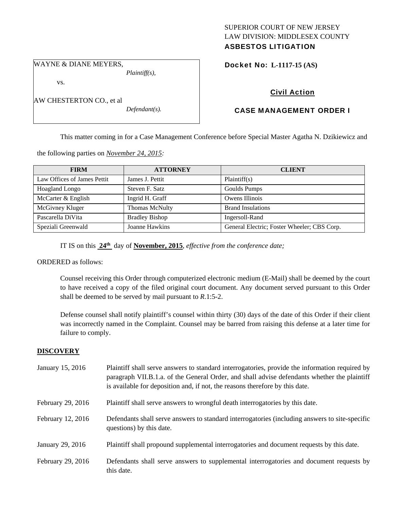## SUPERIOR COURT OF NEW JERSEY LAW DIVISION: MIDDLESEX COUNTY ASBESTOS LITIGATION

WAYNE & DIANE MEYERS,

vs.

AW CHESTERTON CO., et al

*Defendant(s).* 

*Plaintiff(s),* 

Docket No: **L-1117-15 (AS)** 

# Civil Action

# CASE MANAGEMENT ORDER I

This matter coming in for a Case Management Conference before Special Master Agatha N. Dzikiewicz and

the following parties on *November 24, 2015:* 

| <b>FIRM</b>                 | <b>ATTORNEY</b>       | <b>CLIENT</b>                               |
|-----------------------------|-----------------------|---------------------------------------------|
| Law Offices of James Pettit | James J. Pettit       | Plaintiff(s)                                |
| Hoagland Longo              | Steven F. Satz        | Goulds Pumps                                |
| McCarter & English          | Ingrid H. Graff       | Owens Illinois                              |
| McGivney Kluger             | Thomas McNulty        | <b>Brand Insulations</b>                    |
| Pascarella DiVita           | <b>Bradley Bishop</b> | Ingersoll-Rand                              |
| Speziali Greenwald          | Joanne Hawkins        | General Electric; Foster Wheeler; CBS Corp. |

IT IS on this **24th** day of **November, 2015**, *effective from the conference date;*

ORDERED as follows:

Counsel receiving this Order through computerized electronic medium (E-Mail) shall be deemed by the court to have received a copy of the filed original court document. Any document served pursuant to this Order shall be deemed to be served by mail pursuant to *R*.1:5-2.

Defense counsel shall notify plaintiff's counsel within thirty (30) days of the date of this Order if their client was incorrectly named in the Complaint. Counsel may be barred from raising this defense at a later time for failure to comply.

## **DISCOVERY**

| January 15, 2016  | Plaintiff shall serve answers to standard interrogatories, provide the information required by<br>paragraph VII.B.1.a. of the General Order, and shall advise defendants whether the plaintiff<br>is available for deposition and, if not, the reasons therefore by this date. |
|-------------------|--------------------------------------------------------------------------------------------------------------------------------------------------------------------------------------------------------------------------------------------------------------------------------|
| February 29, 2016 | Plaintiff shall serve answers to wrongful death interrogatories by this date.                                                                                                                                                                                                  |
| February 12, 2016 | Defendants shall serve answers to standard interrogatories (including answers to site-specific<br>questions) by this date.                                                                                                                                                     |
| January 29, 2016  | Plaintiff shall propound supplemental interrogatories and document requests by this date.                                                                                                                                                                                      |
| February 29, 2016 | Defendants shall serve answers to supplemental interrogatories and document requests by<br>this date.                                                                                                                                                                          |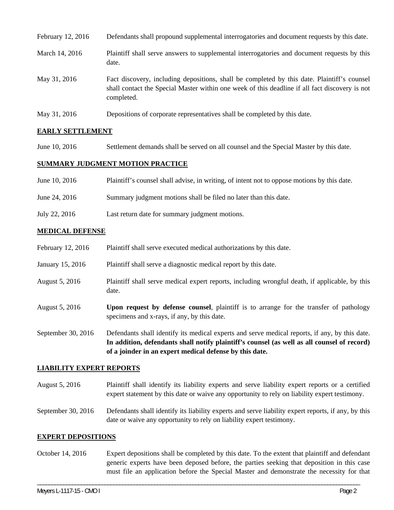| February 12, 2016 | Defendants shall propound supplemental interrogatories and document requests by this date.                                                                                                                  |
|-------------------|-------------------------------------------------------------------------------------------------------------------------------------------------------------------------------------------------------------|
| March 14, 2016    | Plaintiff shall serve answers to supplemental interrogatories and document requests by this<br>date.                                                                                                        |
| May 31, 2016      | Fact discovery, including depositions, shall be completed by this date. Plaintiff's counsel<br>shall contact the Special Master within one week of this deadline if all fact discovery is not<br>completed. |
| May 31, 2016      | Depositions of corporate representatives shall be completed by this date.                                                                                                                                   |

## **EARLY SETTLEMENT**

June 10, 2016 Settlement demands shall be served on all counsel and the Special Master by this date.

#### **SUMMARY JUDGMENT MOTION PRACTICE**

| June 10, 2016 | Plaintiff's counsel shall advise, in writing, of intent not to oppose motions by this date. |
|---------------|---------------------------------------------------------------------------------------------|
| June 24, 2016 | Summary judgment motions shall be filed no later than this date.                            |
| July 22, 2016 | Last return date for summary judgment motions.                                              |

### **MEDICAL DEFENSE**

| February 12, 2016  | Plaintiff shall serve executed medical authorizations by this date.                                                                                                                           |
|--------------------|-----------------------------------------------------------------------------------------------------------------------------------------------------------------------------------------------|
| January 15, 2016   | Plaintiff shall serve a diagnostic medical report by this date.                                                                                                                               |
| August 5, 2016     | Plaintiff shall serve medical expert reports, including wrongful death, if applicable, by this<br>date.                                                                                       |
| August 5, 2016     | <b>Upon request by defense counsel,</b> plaintiff is to arrange for the transfer of pathology<br>specimens and x-rays, if any, by this date.                                                  |
| September 30, 2016 | Defendants shall identify its medical experts and serve medical reports, if any, by this date.<br>In addition, defendants shall notify plaintiff's counsel (as well as all counsel of record) |

#### **LIABILITY EXPERT REPORTS**

August 5, 2016 Plaintiff shall identify its liability experts and serve liability expert reports or a certified expert statement by this date or waive any opportunity to rely on liability expert testimony.

**of a joinder in an expert medical defense by this date.** 

September 30, 2016 Defendants shall identify its liability experts and serve liability expert reports, if any, by this date or waive any opportunity to rely on liability expert testimony.

#### **EXPERT DEPOSITIONS**

October 14, 2016 Expert depositions shall be completed by this date. To the extent that plaintiff and defendant generic experts have been deposed before, the parties seeking that deposition in this case must file an application before the Special Master and demonstrate the necessity for that

\_\_\_\_\_\_\_\_\_\_\_\_\_\_\_\_\_\_\_\_\_\_\_\_\_\_\_\_\_\_\_\_\_\_\_\_\_\_\_\_\_\_\_\_\_\_\_\_\_\_\_\_\_\_\_\_\_\_\_\_\_\_\_\_\_\_\_\_\_\_\_\_\_\_\_\_\_\_\_\_\_\_\_\_\_\_\_\_\_\_\_\_\_\_\_\_\_\_\_\_\_\_\_\_\_\_\_\_\_\_